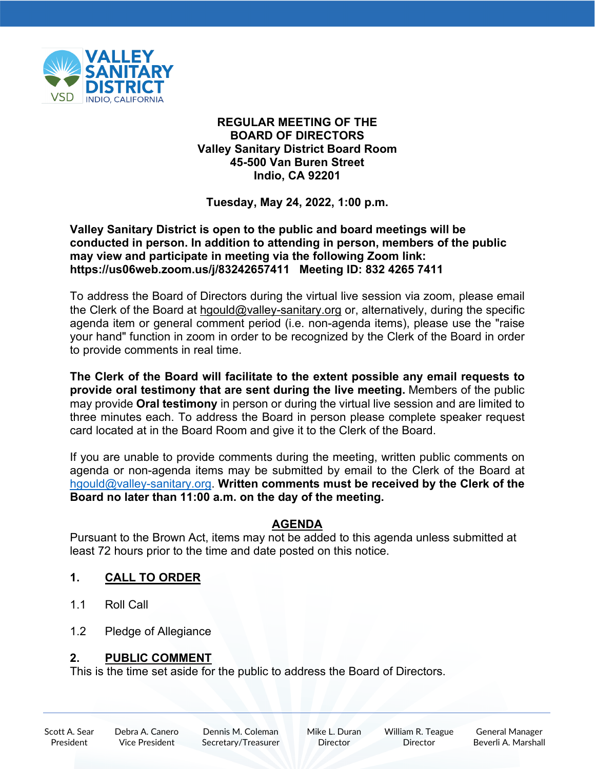

### **REGULAR MEETING OF THE BOARD OF DIRECTORS Valley Sanitary District Board Room 45-500 Van Buren Street Indio, CA 92201**

**Tuesday, May 24, 2022, 1:00 p.m.**

### **Valley Sanitary District is open to the public and board meetings will be conducted in person. In addition to attending in person, members of the public may view and participate in meeting via the following Zoom link: https://us06web.zoom.us/j/83242657411 Meeting ID: 832 4265 7411**

To address the Board of Directors during the virtual live session via zoom, please email the Clerk of the Board at [hgould@valley-sanitary.org](mailto:hgould@valley-sanitary.org) or, alternatively, during the specific agenda item or general comment period (i.e. non-agenda items), please use the "raise your hand" function in zoom in order to be recognized by the Clerk of the Board in order to provide comments in real time.

**The Clerk of the Board will facilitate to the extent possible any email requests to provide oral testimony that are sent during the live meeting.** Members of the public may provide **Oral testimony** in person or during the virtual live session and are limited to three minutes each. To address the Board in person please complete speaker request card located at in the Board Room and give it to the Clerk of the Board.

If you are unable to provide comments during the meeting, written public comments on agenda or non-agenda items may be submitted by email to the Clerk of the Board at [hgould@valley-sanitary.org.](mailto:hgould@valley-sanitary.org) **Written comments must be received by the Clerk of the Board no later than 11:00 a.m. on the day of the meeting.**

## **AGENDA**

Pursuant to the Brown Act, items may not be added to this agenda unless submitted at least 72 hours prior to the time and date posted on this notice.

# **1. CALL TO ORDER**

- 1.1 Roll Call
- 1.2 Pledge of Allegiance

## **2. PUBLIC COMMENT**

This is the time set aside for the public to address the Board of Directors.

Scott A. Sear President

Dennis M. Coleman Secretary/Treasurer Mike L. Duran **Director** 

William R. Teague Director

General Manager Beverli A. Marshall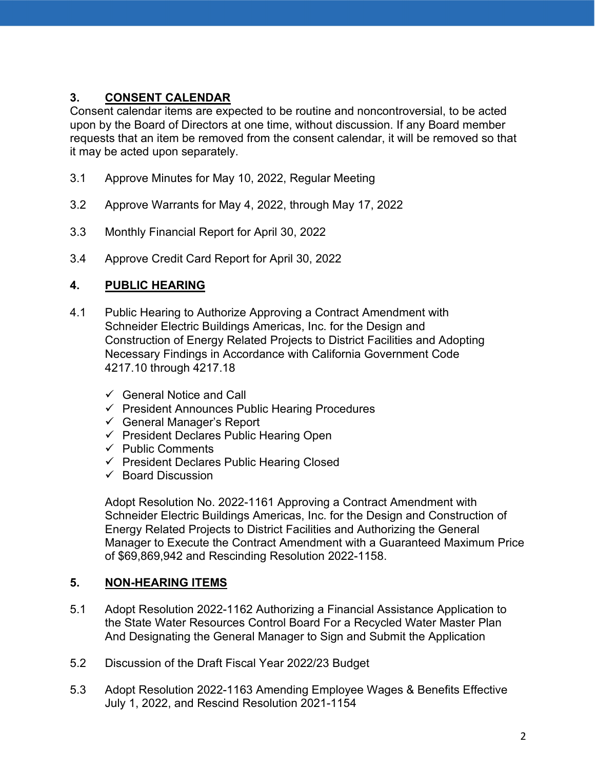# **3. CONSENT CALENDAR**

Consent calendar items are expected to be routine and noncontroversial, to be acted upon by the Board of Directors at one time, without discussion. If any Board member requests that an item be removed from the consent calendar, it will be removed so that it may be acted upon separately.

- 3.1 Approve Minutes for May 10, 2022, Regular Meeting
- 3.2 Approve Warrants for May 4, 2022, through May 17, 2022
- 3.3 Monthly Financial Report for April 30, 2022
- 3.4 Approve Credit Card Report for April 30, 2022

## **4. PUBLIC HEARING**

- 4.1 Public Hearing to Authorize Approving a Contract Amendment with Schneider Electric Buildings Americas, Inc. for the Design and Construction of Energy Related Projects to District Facilities and Adopting Necessary Findings in Accordance with California Government Code 4217.10 through 4217.18
	- $\checkmark$  General Notice and Call
	- $\checkmark$  President Announces Public Hearing Procedures
	- $\checkmark$  General Manager's Report
	- $\checkmark$  President Declares Public Hearing Open
	- $\checkmark$  Public Comments
	- $\checkmark$  President Declares Public Hearing Closed
	- $\checkmark$  Board Discussion

Adopt Resolution No. 2022-1161 Approving a Contract Amendment with Schneider Electric Buildings Americas, Inc. for the Design and Construction of Energy Related Projects to District Facilities and Authorizing the General Manager to Execute the Contract Amendment with a Guaranteed Maximum Price of \$69,869,942 and Rescinding Resolution 2022-1158.

## **5. NON-HEARING ITEMS**

- 5.1 Adopt Resolution 2022-1162 Authorizing a Financial Assistance Application to the State Water Resources Control Board For a Recycled Water Master Plan And Designating the General Manager to Sign and Submit the Application
- 5.2 Discussion of the Draft Fiscal Year 2022/23 Budget
- 5.3 Adopt Resolution 2022-1163 Amending Employee Wages & Benefits Effective July 1, 2022, and Rescind Resolution 2021-1154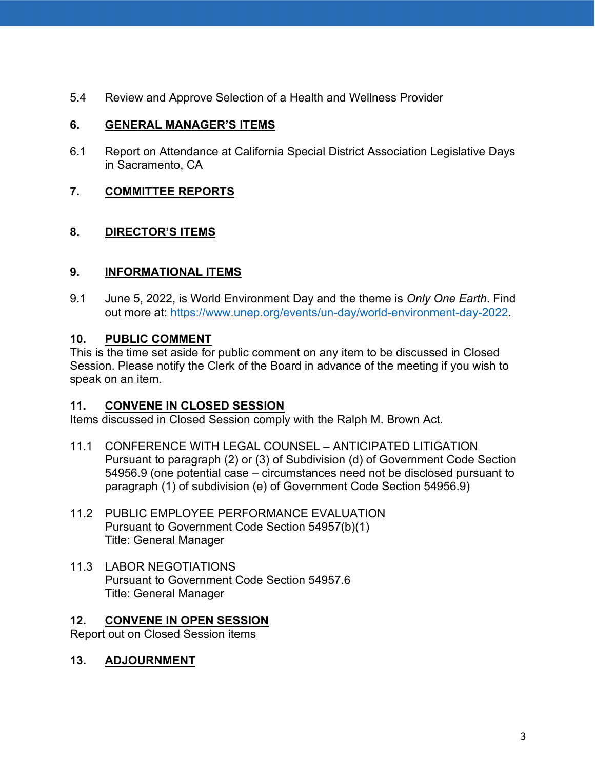5.4 Review and Approve Selection of a Health and Wellness Provider

## **6. GENERAL MANAGER'S ITEMS**

6.1 Report on Attendance at California Special District Association Legislative Days in Sacramento, CA

## **7. COMMITTEE REPORTS**

## **8. DIRECTOR'S ITEMS**

## **9. INFORMATIONAL ITEMS**

9.1 June 5, 2022, is World Environment Day and the theme is *Only One Earth*. Find out more at: [https://www.unep.org/events/un-day/world-environment-day-2022.](https://www.unep.org/events/un-day/world-environment-day-2022)

## **10. PUBLIC COMMENT**

This is the time set aside for public comment on any item to be discussed in Closed Session. Please notify the Clerk of the Board in advance of the meeting if you wish to speak on an item.

#### **11. CONVENE IN CLOSED SESSION**

Items discussed in Closed Session comply with the Ralph M. Brown Act.

- 11.1 CONFERENCE WITH LEGAL COUNSEL ANTICIPATED LITIGATION Pursuant to paragraph (2) or (3) of Subdivision (d) of Government Code Section 54956.9 (one potential case – circumstances need not be disclosed pursuant to paragraph (1) of subdivision (e) of Government Code Section 54956.9)
- 11.2 PUBLIC EMPLOYEE PERFORMANCE EVALUATION Pursuant to Government Code Section 54957(b)(1) Title: General Manager
- 11.3 LABOR NEGOTIATIONS Pursuant to Government Code Section 54957.6 Title: General Manager

## **12. CONVENE IN OPEN SESSION**

Report out on Closed Session items

### **13. ADJOURNMENT**